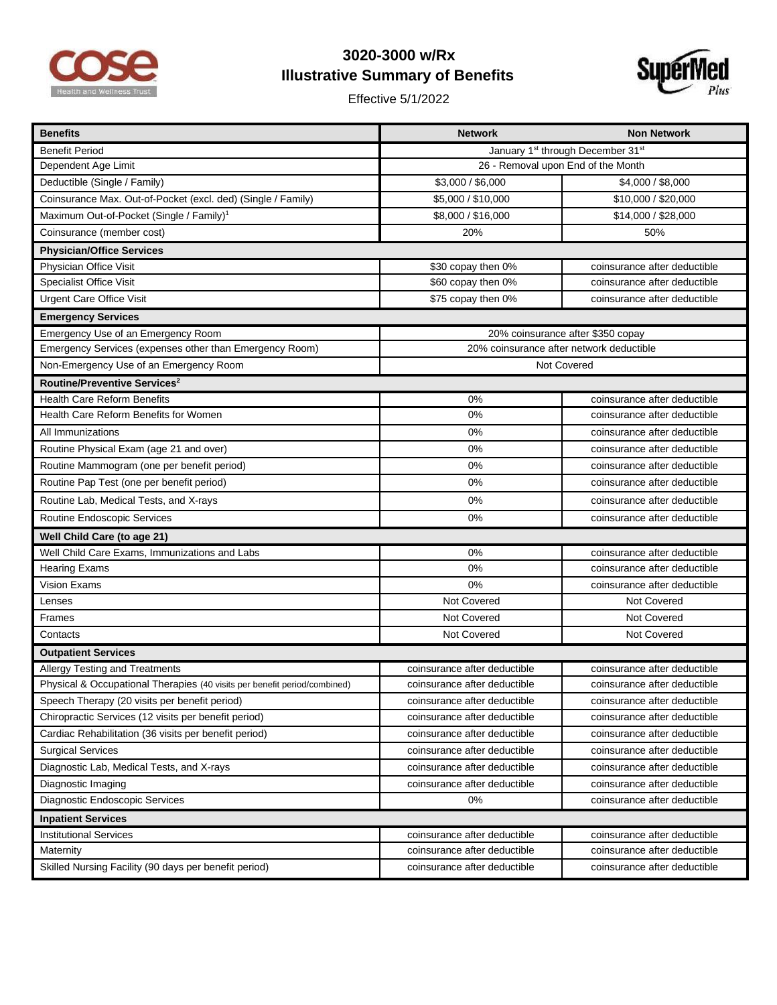

## **3020-3000 w/Rx Illustrative Summary of Benefits**

Effective 5/1/2022



| <b>Benefits</b>                                                           | <b>Network</b>                                            | <b>Non Network</b>           |  |
|---------------------------------------------------------------------------|-----------------------------------------------------------|------------------------------|--|
| <b>Benefit Period</b>                                                     | January 1 <sup>st</sup> through December 31 <sup>st</sup> |                              |  |
| Dependent Age Limit                                                       | 26 - Removal upon End of the Month                        |                              |  |
| Deductible (Single / Family)                                              | \$3,000 / \$6,000                                         | \$4,000 / \$8,000            |  |
| Coinsurance Max. Out-of-Pocket (excl. ded) (Single / Family)              | \$5,000 / \$10,000                                        | \$10,000 / \$20,000          |  |
| Maximum Out-of-Pocket (Single / Family) <sup>1</sup>                      | \$8,000 / \$16,000                                        | \$14,000 / \$28,000          |  |
| Coinsurance (member cost)                                                 | 20%                                                       | 50%                          |  |
| <b>Physician/Office Services</b>                                          |                                                           |                              |  |
| Physician Office Visit                                                    | \$30 copay then 0%                                        | coinsurance after deductible |  |
| <b>Specialist Office Visit</b>                                            | \$60 copay then 0%                                        | coinsurance after deductible |  |
| <b>Urgent Care Office Visit</b>                                           | \$75 copay then 0%                                        | coinsurance after deductible |  |
| <b>Emergency Services</b>                                                 |                                                           |                              |  |
| Emergency Use of an Emergency Room                                        | 20% coinsurance after \$350 copay                         |                              |  |
| Emergency Services (expenses other than Emergency Room)                   | 20% coinsurance after network deductible                  |                              |  |
| Non-Emergency Use of an Emergency Room                                    | Not Covered                                               |                              |  |
| Routine/Preventive Services <sup>2</sup>                                  |                                                           |                              |  |
| <b>Health Care Reform Benefits</b>                                        | 0%                                                        | coinsurance after deductible |  |
| Health Care Reform Benefits for Women                                     | 0%                                                        | coinsurance after deductible |  |
| All Immunizations                                                         | 0%                                                        | coinsurance after deductible |  |
| Routine Physical Exam (age 21 and over)                                   | 0%                                                        | coinsurance after deductible |  |
| Routine Mammogram (one per benefit period)                                | 0%                                                        | coinsurance after deductible |  |
| Routine Pap Test (one per benefit period)                                 | 0%                                                        | coinsurance after deductible |  |
| Routine Lab, Medical Tests, and X-rays                                    | 0%                                                        | coinsurance after deductible |  |
| Routine Endoscopic Services                                               | 0%                                                        | coinsurance after deductible |  |
| Well Child Care (to age 21)                                               |                                                           |                              |  |
| Well Child Care Exams, Immunizations and Labs                             | 0%                                                        | coinsurance after deductible |  |
| <b>Hearing Exams</b>                                                      | 0%                                                        | coinsurance after deductible |  |
| <b>Vision Exams</b>                                                       | 0%                                                        | coinsurance after deductible |  |
| Lenses                                                                    | Not Covered                                               | Not Covered                  |  |
| Frames                                                                    | Not Covered                                               | Not Covered                  |  |
| Contacts                                                                  | Not Covered                                               | Not Covered                  |  |
| <b>Outpatient Services</b>                                                |                                                           |                              |  |
| Allergy Testing and Treatments                                            | coinsurance after deductible                              | coinsurance after deductible |  |
| Physical & Occupational Therapies (40 visits per benefit period/combined) | coinsurance after deductible                              | coinsurance after deductible |  |
| Speech Therapy (20 visits per benefit period)                             | coinsurance after deductible                              | coinsurance after deductible |  |
| Chiropractic Services (12 visits per benefit period)                      | coinsurance after deductible                              | coinsurance after deductible |  |
| Cardiac Rehabilitation (36 visits per benefit period)                     | coinsurance after deductible                              | coinsurance after deductible |  |
| <b>Surgical Services</b>                                                  | coinsurance after deductible                              | coinsurance after deductible |  |
| Diagnostic Lab, Medical Tests, and X-rays                                 | coinsurance after deductible                              | coinsurance after deductible |  |
| Diagnostic Imaging                                                        | coinsurance after deductible                              | coinsurance after deductible |  |
| Diagnostic Endoscopic Services                                            | 0%                                                        | coinsurance after deductible |  |
| <b>Inpatient Services</b>                                                 |                                                           |                              |  |
| <b>Institutional Services</b>                                             | coinsurance after deductible                              | coinsurance after deductible |  |
| Maternity                                                                 | coinsurance after deductible                              | coinsurance after deductible |  |
| Skilled Nursing Facility (90 days per benefit period)                     | coinsurance after deductible                              | coinsurance after deductible |  |